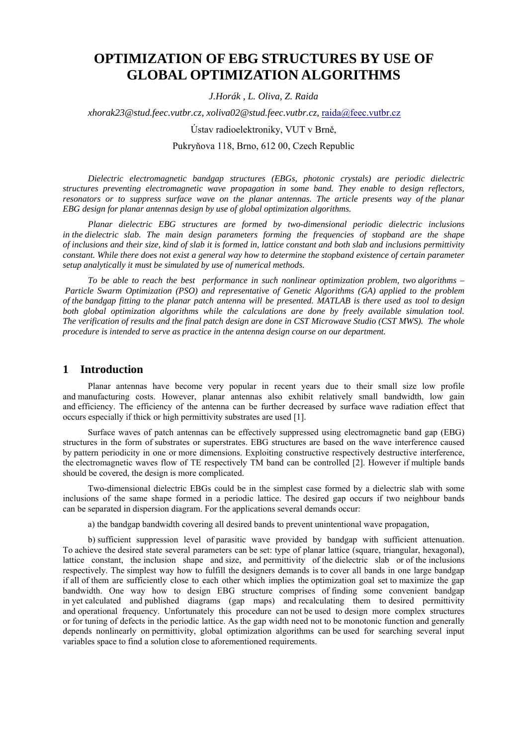# **OPTIMIZATION OF EBG STRUCTURES BY USE OF GLOBAL OPTIMIZATION ALGORITHMS**

*J.Horák , L. Oliva, Z. Raida* 

*xhorak23@stud.feec.vutbr.cz, xoliva02@stud.feec.vutbr.cz,* raida@feec.vutbr.cz

Ústav radioelektroniky, VUT v Brně,

#### Pukryňova 118, Brno, 612 00, Czech Republic

*Dielectric electromagnetic bandgap structures (EBGs, photonic crystals) are periodic dielectric structures preventing electromagnetic wave propagation in some band. They enable to design reflectors, resonators or to suppress surface wave on the planar antennas. The article presents way of the planar EBG design for planar antennas design by use of global optimization algorithms.* 

*Planar dielectric EBG structures are formed by two-dimensional periodic dielectric inclusions in the dielectric slab. The main design parameters forming the frequencies of stopband are the shape of inclusions and their size, kind of slab it is formed in, lattice constant and both slab and inclusions permittivity constant. While there does not exist a general way how to determine the stopband existence of certain parameter setup analytically it must be simulated by use of numerical methods.* 

*To be able to reach the best performance in such nonlinear optimization problem, two algorithms – Particle Swarm Optimization (PSO) and representative of Genetic Algorithms (GA) applied to the problem of the bandgap fitting to the planar patch antenna will be presented. MATLAB is there used as tool to design both global optimization algorithms while the calculations are done by freely available simulation tool. The verification of results and the final patch design are done in CST Microwave Studio (CST MWS). The whole procedure is intended to serve as practice in the antenna design course on our department.* 

#### **1 Introduction**

Planar antennas have become very popular in recent years due to their small size low profile and manufacturing costs. However, planar antennas also exhibit relatively small bandwidth, low gain and efficiency. The efficiency of the antenna can be further decreased by surface wave radiation effect that occurs especially if thick or high permittivity substrates are used [1].

Surface waves of patch antennas can be effectively suppressed using electromagnetic band gap (EBG) structures in the form of substrates or superstrates. EBG structures are based on the wave interference caused by pattern periodicity in one or more dimensions. Exploiting constructive respectively destructive interference, the electromagnetic waves flow of TE respectively TM band can be controlled [2]. However if multiple bands should be covered, the design is more complicated.

Two-dimensional dielectric EBGs could be in the simplest case formed by a dielectric slab with some inclusions of the same shape formed in a periodic lattice. The desired gap occurs if two neighbour bands can be separated in dispersion diagram. For the applications several demands occur:

a) the bandgap bandwidth covering all desired bands to prevent unintentional wave propagation,

b) sufficient suppression level of parasitic wave provided by bandgap with sufficient attenuation. To achieve the desired state several parameters can be set: type of planar lattice (square, triangular, hexagonal), lattice constant, the inclusion shape and size, and permittivity of the dielectric slab or of the inclusions respectively. The simplest way how to fulfill the designers demands is to cover all bands in one large bandgap if all of them are sufficiently close to each other which implies the optimization goal set to maximize the gap bandwidth. One way how to design EBG structure comprises of finding some convenient bandgap in yet calculated and published diagrams (gap maps) and recalculating them to desired permittivity and operational frequency. Unfortunately this procedure can not be used to design more complex structures or for tuning of defects in the periodic lattice. As the gap width need not to be monotonic function and generally depends nonlinearly on permittivity, global optimization algorithms can be used for searching several input variables space to find a solution close to aforementioned requirements.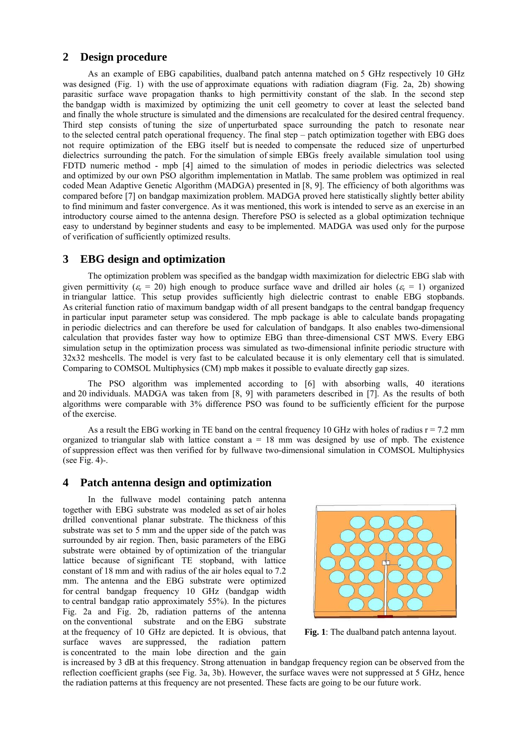## **2 Design procedure**

As an example of EBG capabilities, dualband patch antenna matched on 5 GHz respectively 10 GHz was designed (Fig. 1) with the use of approximate equations with radiation diagram (Fig. 2a, 2b) showing parasitic surface wave propagation thanks to high permittivity constant of the slab. In the second step the bandgap width is maximized by optimizing the unit cell geometry to cover at least the selected band and finally the whole structure is simulated and the dimensions are recalculated for the desired central frequency. Third step consists of tuning the size of unperturbated space surrounding the patch to resonate near to the selected central patch operational frequency. The final step – patch optimization together with EBG does not require optimization of the EBG itself but is needed to compensate the reduced size of unperturbed dielectrics surrounding the patch. For the simulation of simple EBGs freely available simulation tool using FDTD numeric method - mpb [4] aimed to the simulation of modes in periodic dielectrics was selected and optimized by our own PSO algorithm implementation in Matlab. The same problem was optimized in real coded Mean Adaptive Genetic Algorithm (MADGA) presented in [8, 9]. The efficiency of both algorithms was compared before [7] on bandgap maximization problem. MADGA proved here statistically slightly better ability to find minimum and faster convergence. As it was mentioned, this work is intended to serve as an exercise in an introductory course aimed to the antenna design. Therefore PSO is selected as a global optimization technique easy to understand by beginner students and easy to be implemented. MADGA was used only for the purpose of verification of sufficiently optimized results.

## **3 EBG design and optimization**

The optimization problem was specified as the bandgap width maximization for dielectric EBG slab with given permittivity ( $\varepsilon_r$  = 20) high enough to produce surface wave and drilled air holes ( $\varepsilon_r$  = 1) organized in triangular lattice. This setup provides sufficiently high dielectric contrast to enable EBG stopbands. As criterial function ratio of maximum bandgap width of all present bandgaps to the central bandgap frequency in particular input parameter setup was considered. The mpb package is able to calculate bands propagating in periodic dielectrics and can therefore be used for calculation of bandgaps. It also enables two-dimensional calculation that provides faster way how to optimize EBG than three-dimensional CST MWS. Every EBG simulation setup in the optimization process was simulated as two-dimensional infinite periodic structure with 32x32 meshcells. The model is very fast to be calculated because it is only elementary cell that is simulated. Comparing to COMSOL Multiphysics (CM) mpb makes it possible to evaluate directly gap sizes.

The PSO algorithm was implemented according to [6] with absorbing walls, 40 iterations and 20 individuals. MADGA was taken from [8, 9] with parameters described in [7]. As the results of both algorithms were comparable with 3% difference PSO was found to be sufficiently efficient for the purpose of the exercise.

As a result the EBG working in TE band on the central frequency 10 GHz with holes of radius  $r = 7.2$  mm organized to triangular slab with lattice constant  $a = 18$  mm was designed by use of mpb. The existence of suppression effect was then verified for by fullwave two-dimensional simulation in COMSOL Multiphysics (see Fig. 4)-.

## **4 Patch antenna design and optimization**

In the fullwave model containing patch antenna together with EBG substrate was modeled as set of air holes drilled conventional planar substrate. The thickness of this substrate was set to 5 mm and the upper side of the patch was surrounded by air region. Then, basic parameters of the EBG substrate were obtained by of optimization of the triangular lattice because of significant TE stopband, with lattice constant of 18 mm and with radius of the air holes equal to 7.2 mm. The antenna and the EBG substrate were optimized for central bandgap frequency 10 GHz (bandgap width to central bandgap ratio approximately 55%). In the pictures Fig. 2a and Fig. 2b, radiation patterns of the antenna on the conventional substrate and on the EBG substrate at the frequency of 10 GHz are depicted. It is obvious, that surface waves are suppressed, the radiation pattern is concentrated to the main lobe direction and the gain



 **Fig. 1**: The dualband patch antenna layout.

is increased by 3 dB at this frequency. Strong attenuation in bandgap frequency region can be observed from the reflection coefficient graphs (see Fig. 3a, 3b). However, the surface waves were not suppressed at 5 GHz, hence the radiation patterns at this frequency are not presented. These facts are going to be our future work.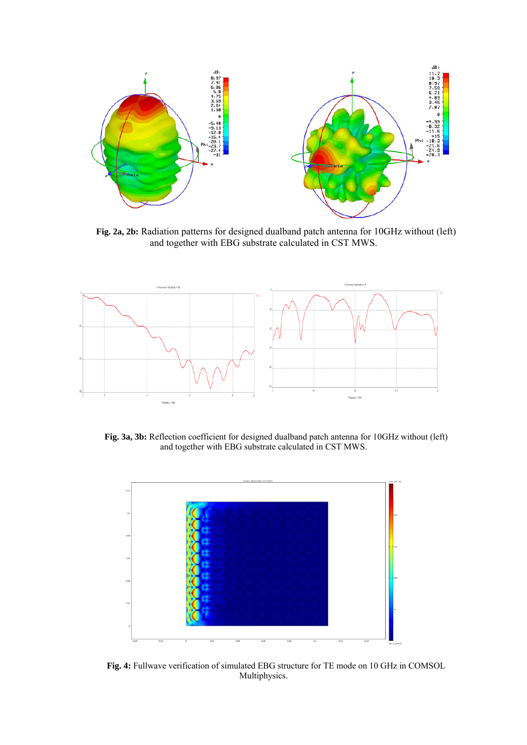

**Fig. 2a, 2b:** Radiation patterns for designed dualband patch antenna for 10GHz without (left) and together with EBG substrate calculated in CST MWS.



**Fig. 3a, 3b:** Reflection coefficient for designed dualband patch antenna for 10GHz without (left) and together with EBG substrate calculated in CST MWS.



**Fig. 4:** Fullwave verification of simulated EBG structure for TE mode on 10 GHz in COMSOL Multiphysics.